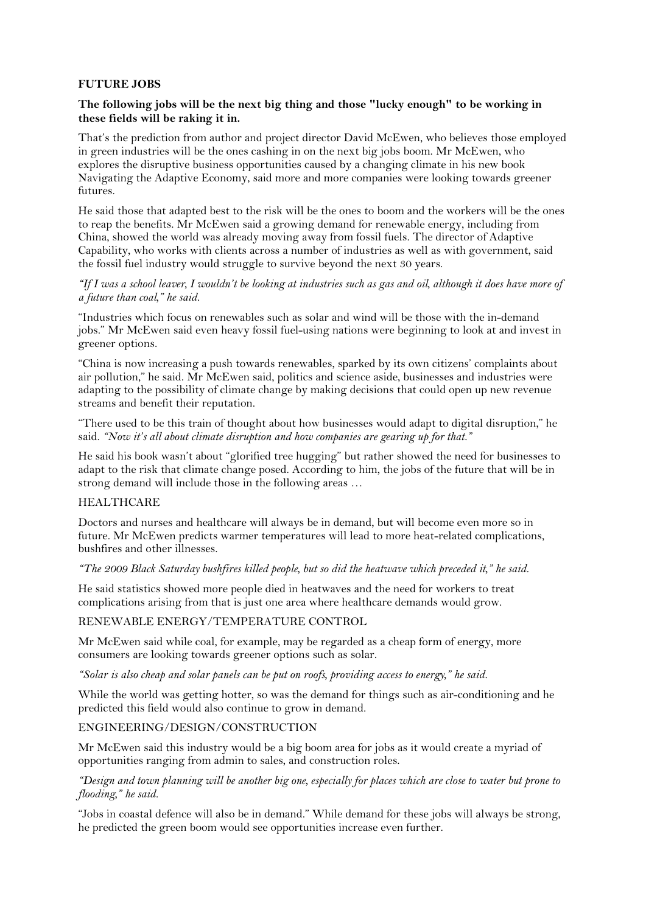# **FUTURE JOBS**

# **The following jobs will be the next big thing and those "lucky enough" to be working in these fields will be raking it in.**

That's the prediction from author and project director David McEwen, who believes those employed in green industries will be the ones cashing in on the next big jobs boom. Mr McEwen, who explores the disruptive business opportunities caused by a changing climate in his new book Navigating the Adaptive Economy, said more and more companies were looking towards greener futures.

He said those that adapted best to the risk will be the ones to boom and the workers will be the ones to reap the benefits. Mr McEwen said a growing demand for renewable energy, including from China, showed the world was already moving away from fossil fuels. The director of Adaptive Capability, who works with clients across a number of industries as well as with government, said the fossil fuel industry would struggle to survive beyond the next 30 years.

### *"If I was a school leaver, I wouldn't be looking at industries such as gas and oil, although it does have more of a future than coal," he said.*

"Industries which focus on renewables such as solar and wind will be those with the in-demand jobs." Mr McEwen said even heavy fossil fuel-using nations were beginning to look at and invest in greener options.

"China is now increasing a push towards renewables, sparked by its own citizens' complaints about air pollution," he said. Mr McEwen said, politics and science aside, businesses and industries were adapting to the possibility of climate change by making decisions that could open up new revenue streams and benefit their reputation.

"There used to be this train of thought about how businesses would adapt to digital disruption," he said. *"Now it's all about climate disruption and how companies are gearing up for that."*

He said his book wasn't about "glorified tree hugging" but rather showed the need for businesses to adapt to the risk that climate change posed. According to him, the jobs of the future that will be in strong demand will include those in the following areas …

# **HEALTHCARE**

Doctors and nurses and healthcare will always be in demand, but will become even more so in future. Mr McEwen predicts warmer temperatures will lead to more heat-related complications, bushfires and other illnesses.

#### *"The 2009 Black Saturday bushfires killed people, but so did the heatwave which preceded it," he said.*

He said statistics showed more people died in heatwaves and the need for workers to treat complications arising from that is just one area where healthcare demands would grow.

# RENEWABLE ENERGY/TEMPERATURE CONTROL

Mr McEwen said while coal, for example, may be regarded as a cheap form of energy, more consumers are looking towards greener options such as solar.

*"Solar is also cheap and solar panels can be put on roofs, providing access to energy," he said.*

While the world was getting hotter, so was the demand for things such as air-conditioning and he predicted this field would also continue to grow in demand.

# ENGINEERING/DESIGN/CONSTRUCTION

Mr McEwen said this industry would be a big boom area for jobs as it would create a myriad of opportunities ranging from admin to sales, and construction roles.

*"Design and town planning will be another big one, especially for places which are close to water but prone to flooding," he said.*

"Jobs in coastal defence will also be in demand." While demand for these jobs will always be strong, he predicted the green boom would see opportunities increase even further.